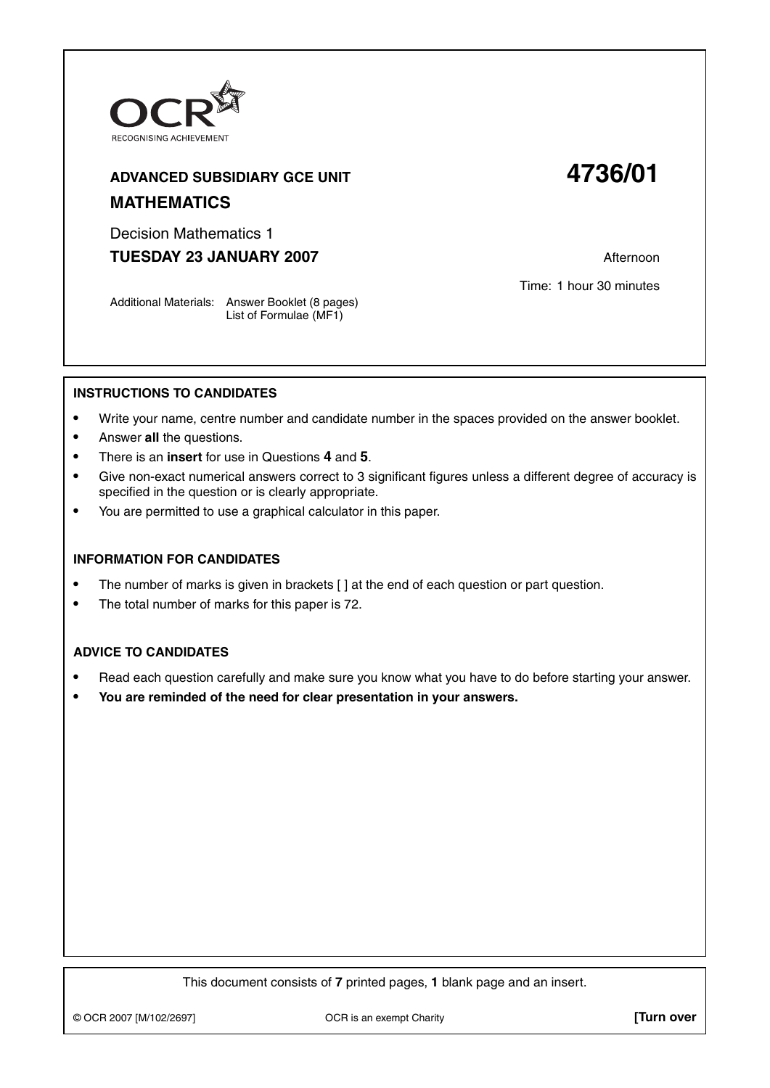

# **ADVANCED SUBSIDIARY GCE UNIT 4736/01 MATHEMATICS**

Decision Mathematics 1

**TUESDAY 23 JANUARY 2007** Afternoon

Time: 1 hour 30 minutes

Additional Materials: Answer Booklet (8 pages) List of Formulae (MF1)

#### **INSTRUCTIONS TO CANDIDATES**

- **•** Write your name, centre number and candidate number in the spaces provided on the answer booklet.
- **•** Answer **all** the questions.
- **•** There is an **insert** for use in Questions **4** and **5**.
- **•** Give non-exact numerical answers correct to 3 significant figures unless a different degree of accuracy is specified in the question or is clearly appropriate.
- **•** You are permitted to use a graphical calculator in this paper.

#### **INFORMATION FOR CANDIDATES**

- The number of marks is given in brackets [ ] at the end of each question or part question.
- **•** The total number of marks for this paper is 72.

#### **ADVICE TO CANDIDATES**

- Read each question carefully and make sure you know what you have to do before starting your answer.
- **• You are reminded of the need for clear presentation in your answers.**

This document consists of **7** printed pages, **1** blank page and an insert.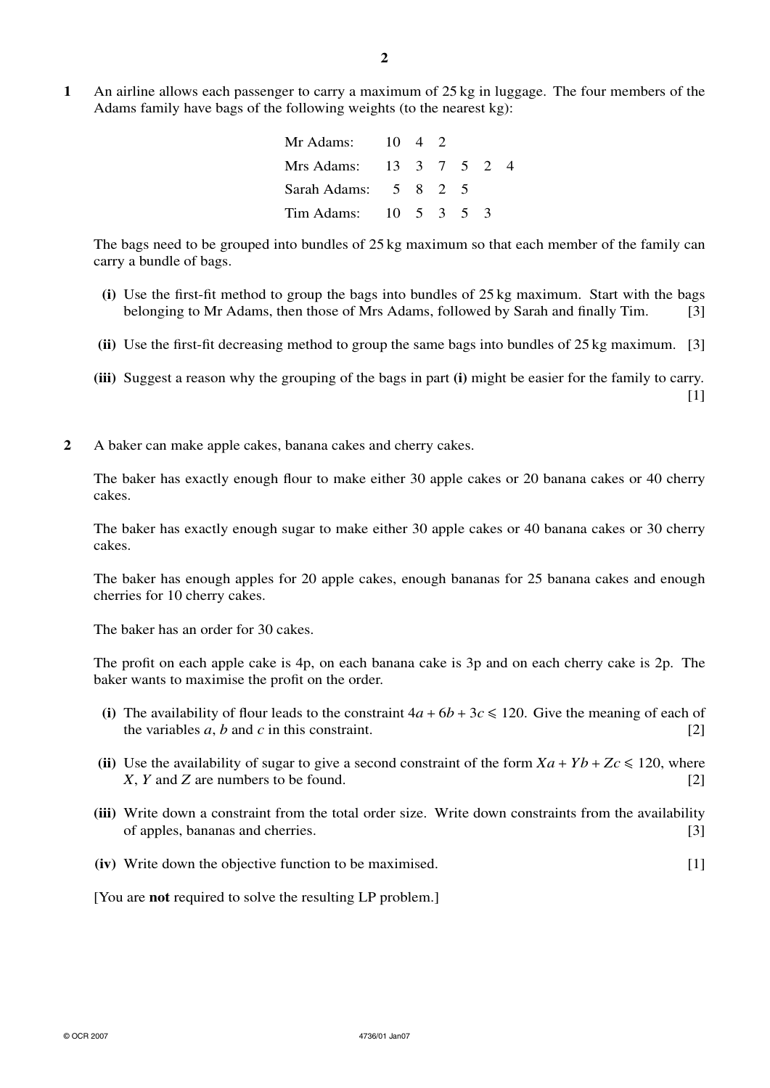| Mr Adams:               | $10 \quad 4 \quad 2$ |  |  |  |
|-------------------------|----------------------|--|--|--|
| Mrs Adams: 13 3 7 5 2 4 |                      |  |  |  |
| Sarah Adams: 5 8 2 5    |                      |  |  |  |
| Tim Adams: 10 5 3 5 3   |                      |  |  |  |

The bags need to be grouped into bundles of 25 kg maximum so that each member of the family can carry a bundle of bags.

- **(i)** Use the first-fit method to group the bags into bundles of 25 kg maximum. Start with the bags belonging to Mr Adams, then those of Mrs Adams, followed by Sarah and finally Tim. [3]
- **(ii)** Use the first-fit decreasing method to group the same bags into bundles of 25 kg maximum. [3]
- **(iii)** Suggest a reason why the grouping of the bags in part **(i)** might be easier for the family to carry.

[1]

**2** A baker can make apple cakes, banana cakes and cherry cakes.

The baker has exactly enough flour to make either 30 apple cakes or 20 banana cakes or 40 cherry cakes.

The baker has exactly enough sugar to make either 30 apple cakes or 40 banana cakes or 30 cherry cakes.

The baker has enough apples for 20 apple cakes, enough bananas for 25 banana cakes and enough cherries for 10 cherry cakes.

The baker has an order for 30 cakes.

The profit on each apple cake is 4p, on each banana cake is 3p and on each cherry cake is 2p. The baker wants to maximise the profit on the order.

- (i) The availability of flour leads to the constraint  $4a + 6b + 3c \le 120$ . Give the meaning of each of the variables *a*, *b* and *c* in this constraint. [2] the variables  $a, b$  and  $c$  in this constraint.
- (ii) Use the availability of sugar to give a second constraint of the form  $Xa + Yb + Zc \le 120$ , where *X*, *Y* and *Z* are numbers to be found. [2]
- **(iii)** Write down a constraint from the total order size. Write down constraints from the availability of apples, bananas and cherries. [3]
- **(iv)** Write down the objective function to be maximised. [1]

[You are **not** required to solve the resulting LP problem.]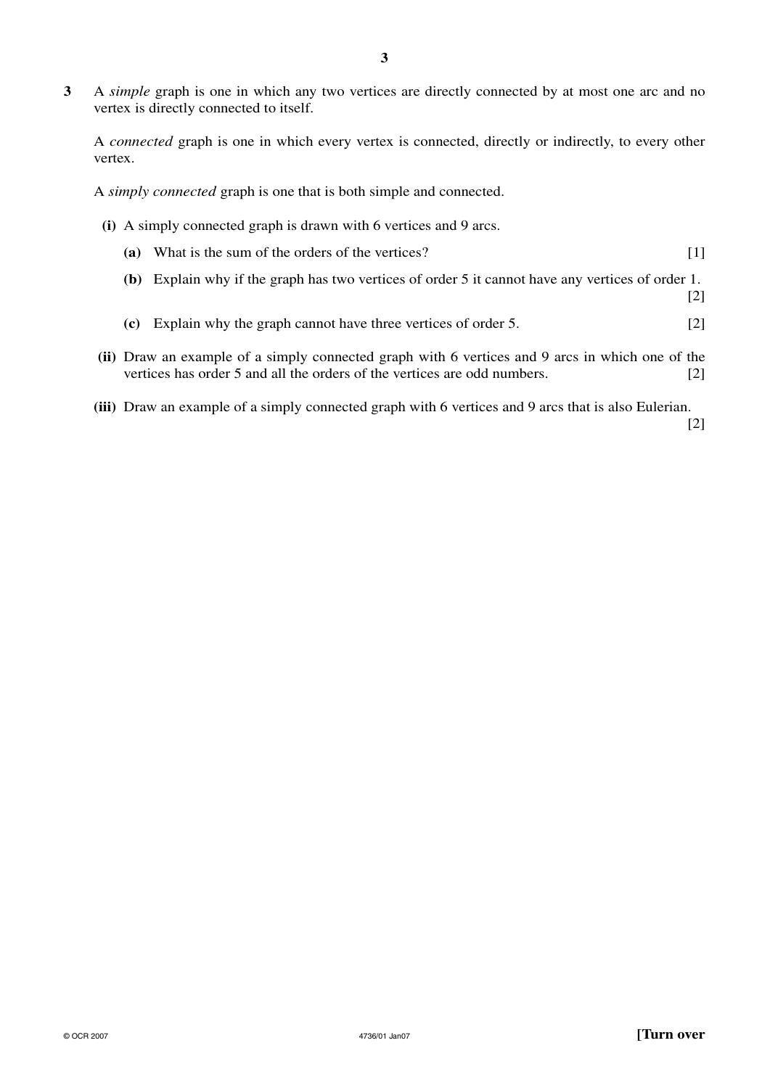**3** A *simple* graph is one in which any two vertices are directly connected by at most one arc and no vertex is directly connected to itself.

A *connected* graph is one in which every vertex is connected, directly or indirectly, to every other vertex.

A *simply connected* graph is one that is both simple and connected.

- **(i)** A simply connected graph is drawn with 6 vertices and 9 arcs.
	- **(a)** What is the sum of the orders of the vertices? [1]
	- **(b)** Explain why if the graph has two vertices of order 5 it cannot have any vertices of order 1.

[2]

- **(c)** Explain why the graph cannot have three vertices of order 5. [2]
- **(ii)** Draw an example of a simply connected graph with 6 vertices and 9 arcs in which one of the vertices has order 5 and all the orders of the vertices are odd numbers. [2]
- **(iii)** Draw an example of a simply connected graph with 6 vertices and 9 arcs that is also Eulerian. [2]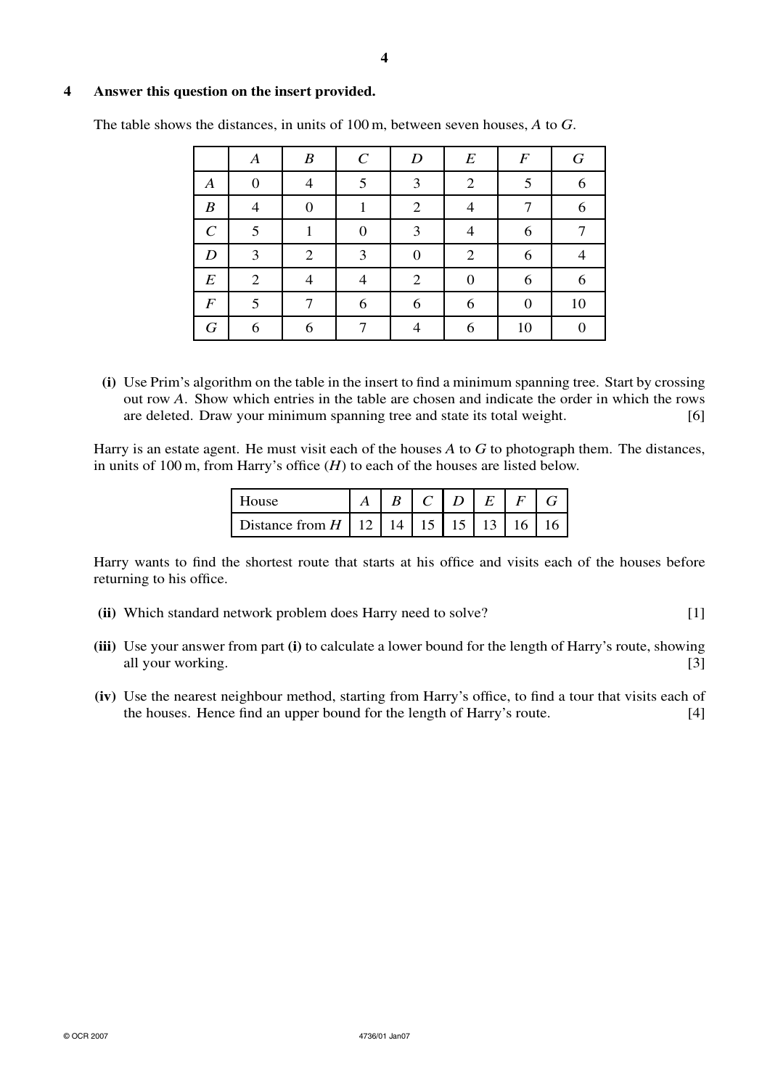#### **4 Answer this question on the insert provided.**

|                  | A                | $\boldsymbol{B}$ | $\mathcal{C}_{0}^{0}$ | D              | $E\,$            | $\boldsymbol{F}$ | $\boldsymbol{G}$ |
|------------------|------------------|------------------|-----------------------|----------------|------------------|------------------|------------------|
| Α                | $\boldsymbol{0}$ | $\overline{4}$   | 5                     | 3              | $\sqrt{2}$       | 5                | 6                |
| $\boldsymbol{B}$ | $\overline{4}$   | 0                |                       | $\overline{2}$ | 4                | 7                | 6                |
| $\boldsymbol{C}$ | 5                |                  | $\mathbf{0}$          | 3              | 4                | 6                | 7                |
| $\boldsymbol{D}$ | 3                | $\overline{2}$   | 3                     | $\mathbf{0}$   | $\overline{2}$   | 6                | 4                |
| $\boldsymbol{E}$ | $\overline{2}$   | $\overline{4}$   | 4                     | $\overline{2}$ | $\boldsymbol{0}$ | 6                | 6                |
| $\boldsymbol{F}$ | 5                | 7                | 6                     | 6              | 6                | $\boldsymbol{0}$ | 10               |
| G                | 6                | 6                | 7                     | 4              | 6                | 10               | 0                |

The table shows the distances, in units of 100 m, between seven houses, *A* to *G*.

**(i)** Use Prim's algorithm on the table in the insert to find a minimum spanning tree. Start by crossing out row *A*. Show which entries in the table are chosen and indicate the order in which the rows are deleted. Draw your minimum spanning tree and state its total weight. [6]

Harry is an estate agent. He must visit each of the houses *A* to *G* to photograph them. The distances, in units of 100 m, from Harry's office (*H*) to each of the houses are listed below.

| House                                                |  |  | $E \perp$ |  |
|------------------------------------------------------|--|--|-----------|--|
| Distance from $H$   12   14   15   15   13   16   16 |  |  |           |  |

Harry wants to find the shortest route that starts at his office and visits each of the houses before returning to his office.

- **(ii)** Which standard network problem does Harry need to solve? [1]
- **(iii)** Use your answer from part **(i)** to calculate a lower bound for the length of Harry's route, showing all your working. [3]
- **(iv)** Use the nearest neighbour method, starting from Harry's office, to find a tour that visits each of the houses. Hence find an upper bound for the length of Harry's route. [4]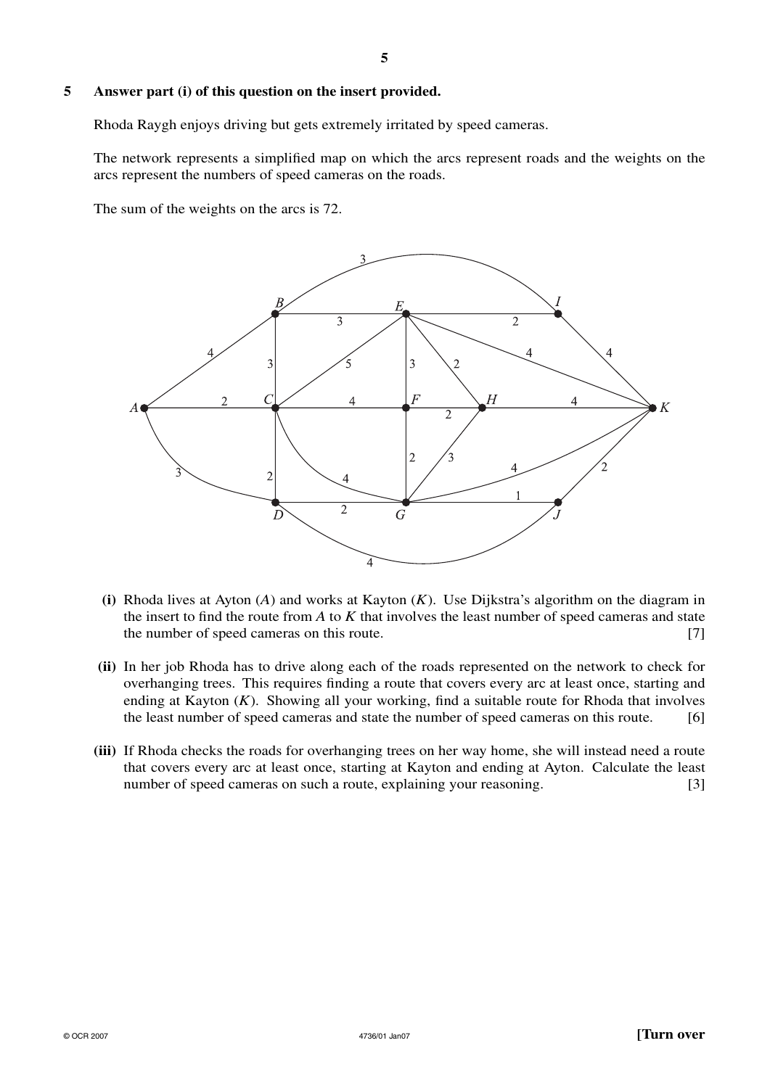#### **5 Answer part (i) of this question on the insert provided.**

Rhoda Raygh enjoys driving but gets extremely irritated by speed cameras.

The network represents a simplified map on which the arcs represent roads and the weights on the arcs represent the numbers of speed cameras on the roads.

The sum of the weights on the arcs is 72.



- **(i)** Rhoda lives at Ayton (*A*) and works at Kayton (*K*). Use Dijkstra's algorithm on the diagram in the insert to find the route from *A* to *K* that involves the least number of speed cameras and state the number of speed cameras on this route. [7]
- **(ii)** In her job Rhoda has to drive along each of the roads represented on the network to check for overhanging trees. This requires finding a route that covers every arc at least once, starting and ending at Kayton (*K*). Showing all your working, find a suitable route for Rhoda that involves the least number of speed cameras and state the number of speed cameras on this route. [6]
- **(iii)** If Rhoda checks the roads for overhanging trees on her way home, she will instead need a route that covers every arc at least once, starting at Kayton and ending at Ayton. Calculate the least number of speed cameras on such a route, explaining your reasoning. [3]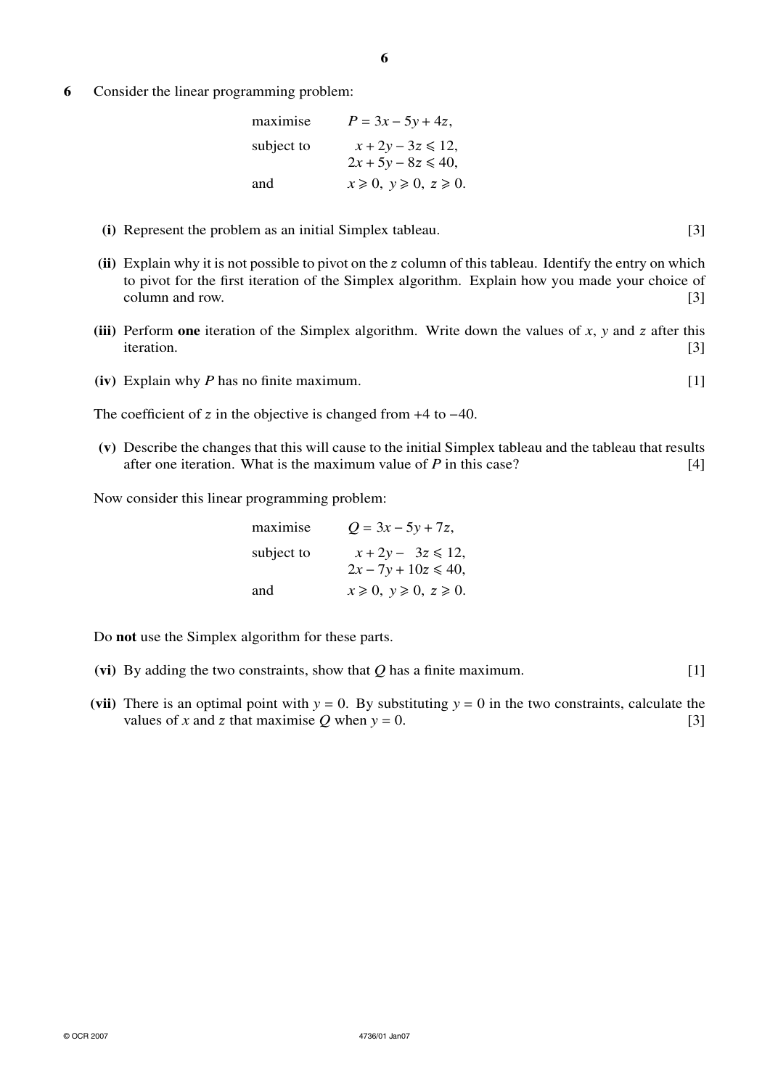**6** Consider the linear programming problem:

| maximise   | $P = 3x - 5y + 4z$ ,                |
|------------|-------------------------------------|
| subject to | $x + 2y - 3z \le 12$ ,              |
|            | $2x + 5y - 8z \le 40$ ,             |
| and        | $x \ge 0$ , $y \ge 0$ , $z \ge 0$ . |

- **(i)** Represent the problem as an initial Simplex tableau. [3]
- (ii) Explain why it is not possible to pivot on the *z* column of this tableau. Identify the entry on which to pivot for the first iteration of the Simplex algorithm. Explain how you made your choice of column and row. [3]
- (iii) Perform one iteration of the Simplex algorithm. Write down the values of  $x$ ,  $y$  and  $z$  after this iteration. [3]
- **(iv)** Explain why *P* has no finite maximum. [1]

The coefficient of z in the objective is changed from  $+4$  to  $-40$ .

**(v)** Describe the changes that this will cause to the initial Simplex tableau and the tableau that results after one iteration. What is the maximum value of *P* in this case? [4]

Now consider this linear programming problem:

| maximise   | $Q = 3x - 5y + 7z$ ,                |
|------------|-------------------------------------|
| subject to | $x + 2y - 3z \le 12$ ,              |
|            | $2x - 7y + 10z \le 40$ ,            |
| and        | $x \ge 0$ , $y \ge 0$ , $z \ge 0$ . |

Do **not** use the Simplex algorithm for these parts.

- **(vi)** By adding the two constraints, show that *Q* has a finite maximum. [1]
- (vii) There is an optimal point with  $y = 0$ . By substituting  $y = 0$  in the two constraints, calculate the values of x and z that maximise Q when  $y = 0$ . [3] values of *x* and *z* that maximise *Q* when  $y = 0$ . [3]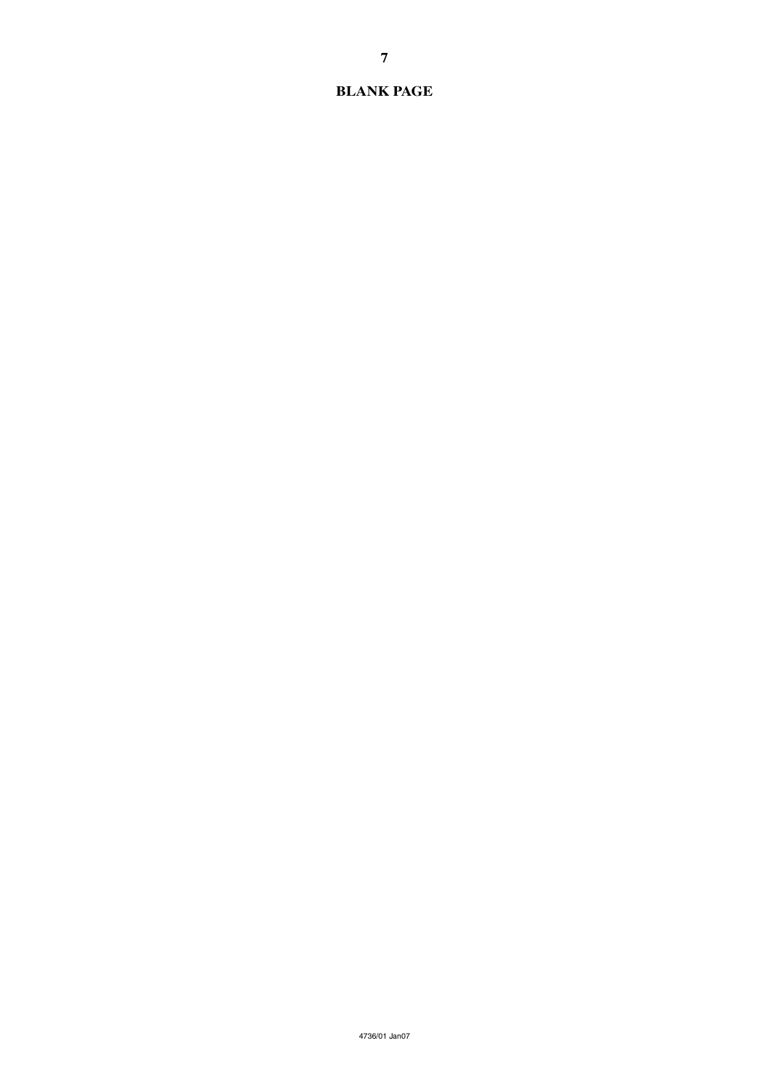## **BLANK PAGE**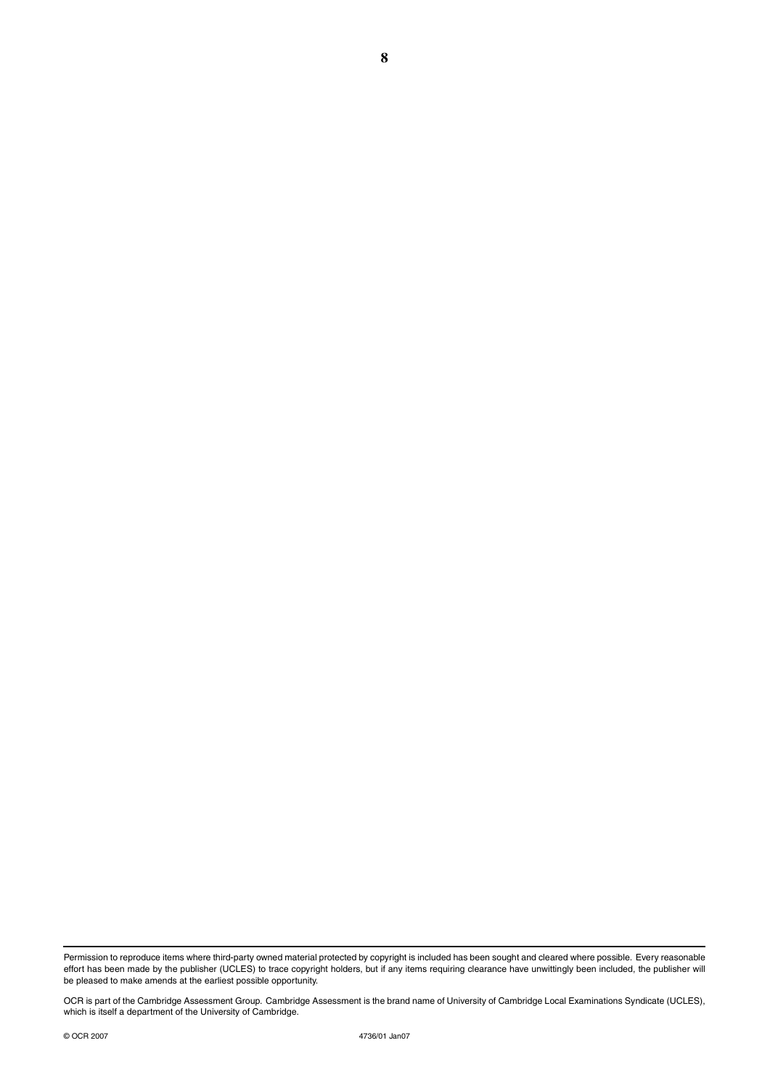**8**

Permission to reproduce items where third-party owned material protected by copyright is included has been sought and cleared where possible. Every reasonable effort has been made by the publisher (UCLES) to trace copyright holders, but if any items requiring clearance have unwittingly been included, the publisher will be pleased to make amends at the earliest possible opportunity.

OCR is part of the Cambridge Assessment Group. Cambridge Assessment is the brand name of University of Cambridge Local Examinations Syndicate (UCLES), which is itself a department of the University of Cambridge.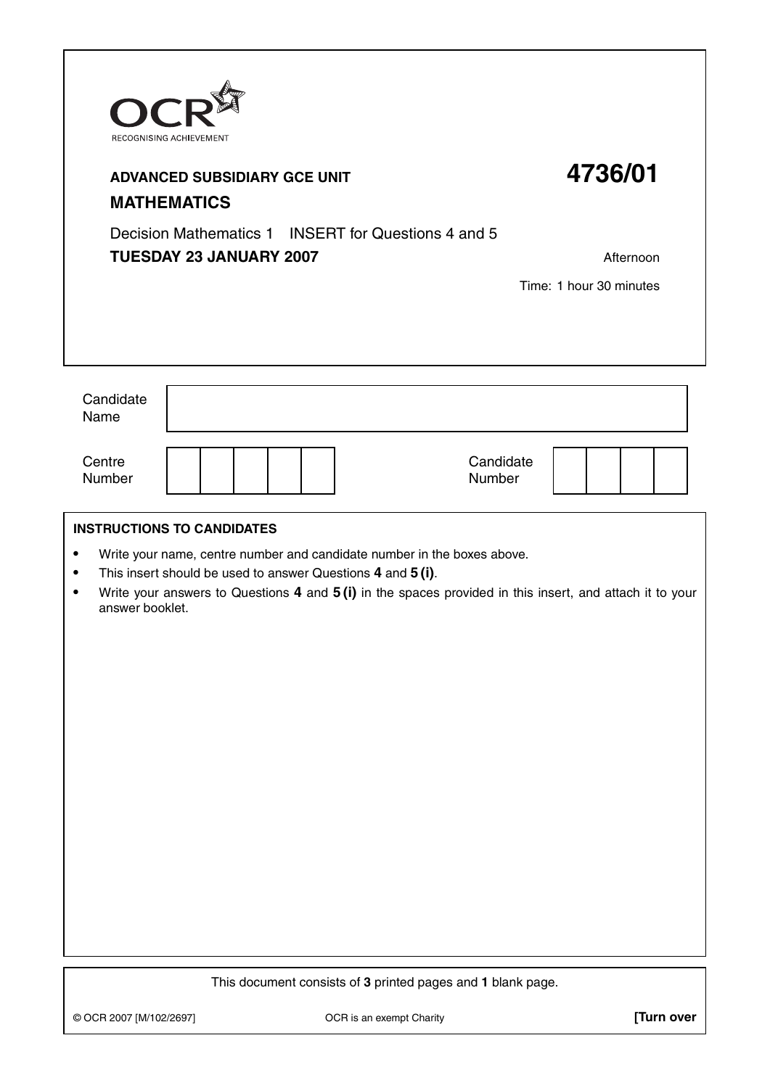| OC<br>RECOGNISING ACHIEVEMENT                                                                                                                                                                                                                                                                                                           |  |
|-----------------------------------------------------------------------------------------------------------------------------------------------------------------------------------------------------------------------------------------------------------------------------------------------------------------------------------------|--|
| 4736/01<br><b>ADVANCED SUBSIDIARY GCE UNIT</b><br><b>MATHEMATICS</b>                                                                                                                                                                                                                                                                    |  |
| Decision Mathematics 1 INSERT for Questions 4 and 5<br><b>TUESDAY 23 JANUARY 2007</b><br>Afternoon<br>Time: 1 hour 30 minutes                                                                                                                                                                                                           |  |
| Candidate<br>Name                                                                                                                                                                                                                                                                                                                       |  |
| Centre<br>Candidate<br>Number<br>Number                                                                                                                                                                                                                                                                                                 |  |
| <b>INSTRUCTIONS TO CANDIDATES</b><br>Write your name, centre number and candidate number in the boxes above.<br>٠<br>This insert should be used to answer Questions 4 and 5(i).<br>$\bullet$<br>Write your answers to Questions 4 and 5(i) in the spaces provided in this insert, and attach it to your<br>$\bullet$<br>answer booklet. |  |
| This document consists of 3 printed pages and 1 blank page.<br>[Turn over<br>© OCR 2007 [M/102/2697]<br>OCR is an exempt Charity                                                                                                                                                                                                        |  |

 $\overline{\mathsf{I}}$ 

 $\Gamma$ 

 $\mathsf{l}$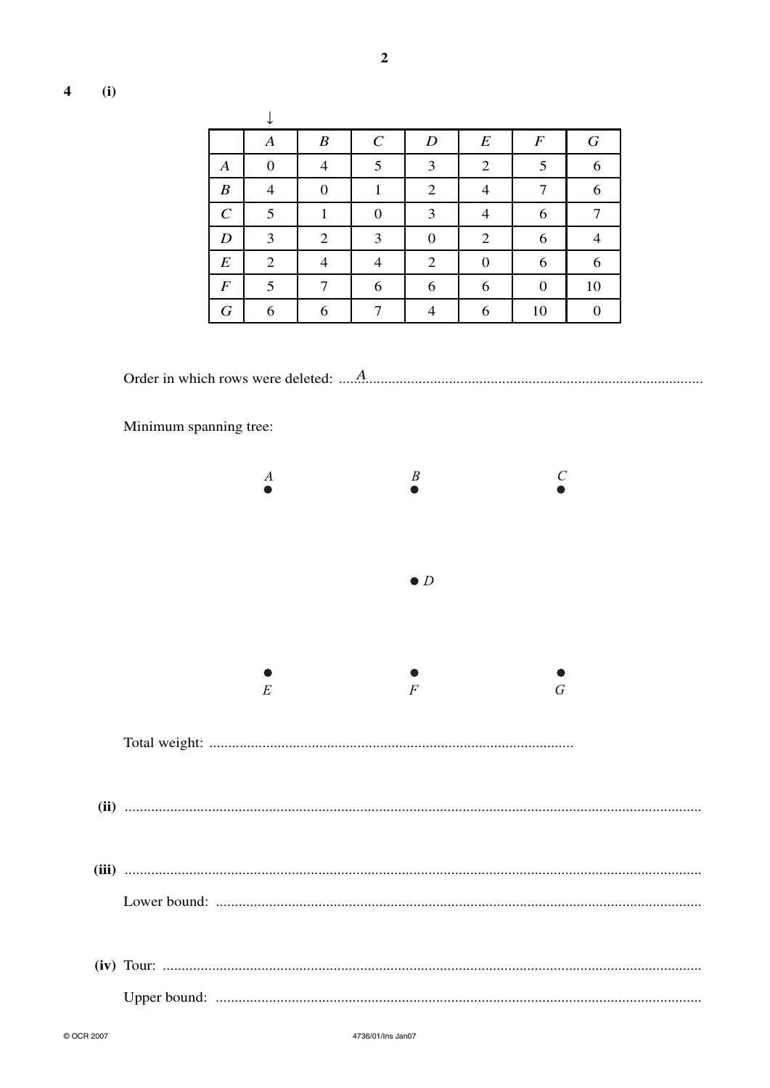$(i)$  $\overline{\mathbf{4}}$ 

|                  | $\boldsymbol{A}$ | $\boldsymbol{B}$ | $\mathcal{C}_{0}$ | D              | $\boldsymbol{E}$         | $\boldsymbol{F}$ | $\boldsymbol{G}$ |
|------------------|------------------|------------------|-------------------|----------------|--------------------------|------------------|------------------|
| A                | $\overline{0}$   | 4                | 5                 | 3              | $\overline{2}$           | 5                | 6                |
| $\boldsymbol{B}$ | 4                | $\boldsymbol{0}$ | 1                 | $\overline{2}$ | 4                        | 7                | 6                |
| $\boldsymbol{C}$ | 5                |                  | $\boldsymbol{0}$  | 3              | $\overline{\mathcal{A}}$ | 6                | 7                |
| $\boldsymbol{D}$ | 3                | $\overline{2}$   | 3                 | $\Omega$       | $\overline{2}$           | 6                | 4                |
| $\boldsymbol{E}$ | 2                | 4                |                   | $\overline{2}$ | $\boldsymbol{0}$         | 6                | 6                |
| $\overline{F}$   | 5                | 7                | 6                 | 6              | 6                        | $\overline{0}$   | 10               |
| G                | 6                | 6                |                   |                | 6                        | 10               | $\boldsymbol{0}$ |

Minimum spanning tree:

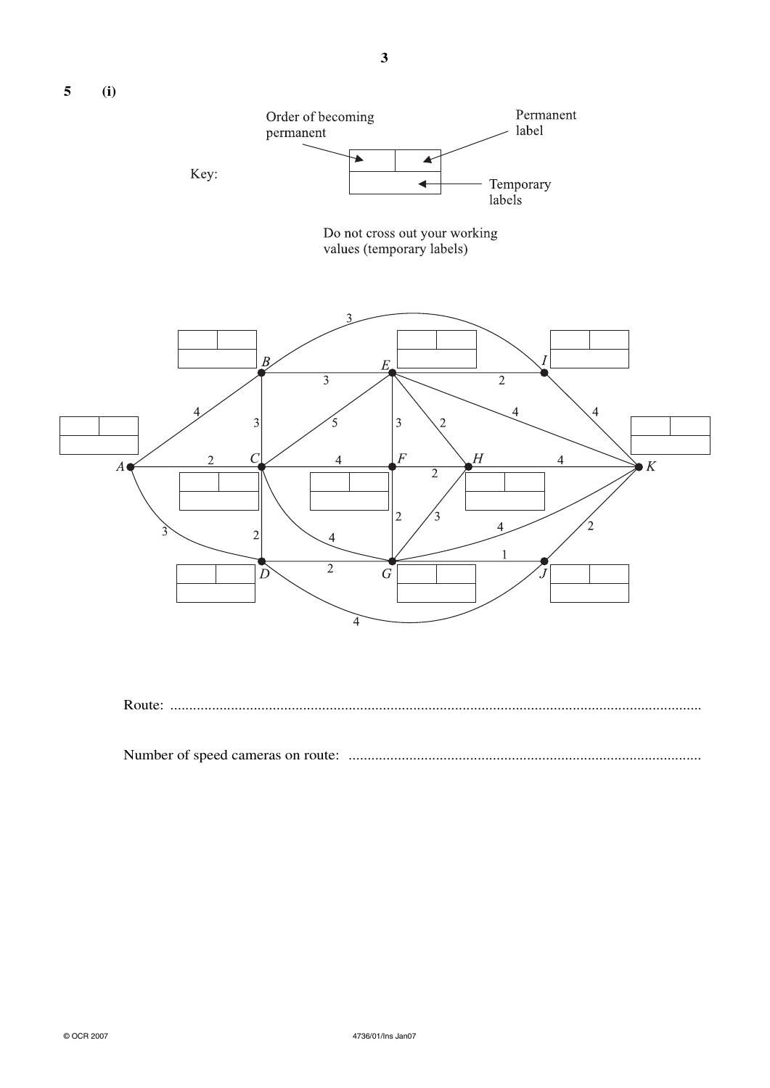